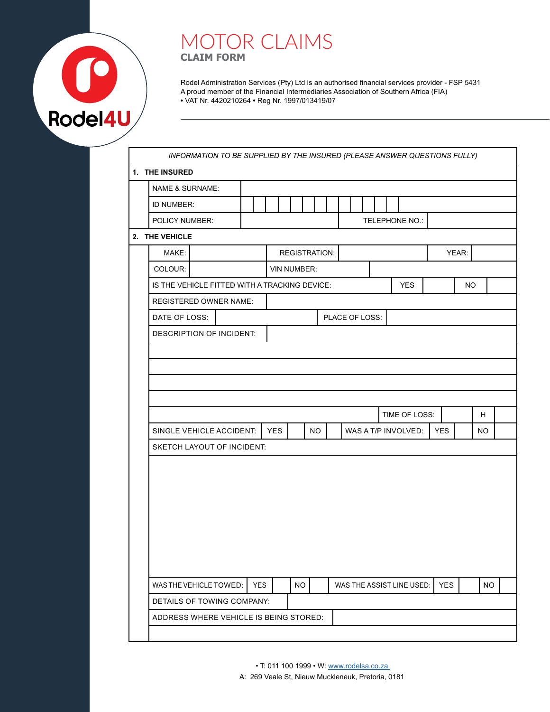

## MOTOR CLAIMS **CLAIM FORM**

Rodel Administration Services (Pty) Ltd is an authorised financial services provider - FSP 5431 A proud member of the Financial Intermediaries Association of Southern Africa (FIA) **•** VAT Nr. 4420210264 **•** Reg Nr. 1997/013419/07

| 1. THE INSURED                                |                          |  |            |            |                    |           |                      |                |  |                           |            |           |                        |
|-----------------------------------------------|--------------------------|--|------------|------------|--------------------|-----------|----------------------|----------------|--|---------------------------|------------|-----------|------------------------|
| NAME & SURNAME:                               |                          |  |            |            |                    |           |                      |                |  |                           |            |           |                        |
| ID NUMBER:                                    |                          |  |            |            |                    |           |                      |                |  |                           |            |           |                        |
| POLICY NUMBER:                                |                          |  |            |            |                    |           |                      |                |  | TELEPHONE NO.:            |            |           |                        |
| 2. THE VEHICLE                                |                          |  |            |            |                    |           |                      |                |  |                           |            |           |                        |
| MAKE:                                         |                          |  |            |            |                    |           | <b>REGISTRATION:</b> |                |  |                           |            | YEAR:     |                        |
| COLOUR:                                       |                          |  |            |            | <b>VIN NUMBER:</b> |           |                      |                |  |                           |            |           |                        |
| IS THE VEHICLE FITTED WITH A TRACKING DEVICE: |                          |  |            |            |                    |           |                      |                |  | <b>YES</b>                |            | <b>NO</b> |                        |
| <b>REGISTERED OWNER NAME:</b>                 |                          |  |            |            |                    |           |                      |                |  |                           |            |           |                        |
| DATE OF LOSS:                                 |                          |  |            |            |                    |           |                      | PLACE OF LOSS: |  |                           |            |           |                        |
|                                               | DESCRIPTION OF INCIDENT: |  |            |            |                    |           |                      |                |  |                           |            |           |                        |
|                                               |                          |  |            |            |                    |           |                      |                |  |                           |            |           |                        |
|                                               |                          |  |            |            |                    |           |                      |                |  |                           |            |           |                        |
|                                               |                          |  |            |            |                    |           |                      |                |  | TIME OF LOSS:             |            |           |                        |
| SINGLE VEHICLE ACCIDENT:                      |                          |  |            | <b>YES</b> |                    | <b>NO</b> |                      |                |  | WAS A T/P INVOLVED:       | <b>YES</b> |           |                        |
| <b>SKETCH LAYOUT OF INCIDENT:</b>             |                          |  |            |            |                    |           |                      |                |  |                           |            |           |                        |
|                                               |                          |  |            |            |                    |           |                      |                |  |                           |            |           |                        |
| WAS THE VEHICLE TOWED:                        |                          |  | <b>YES</b> |            | <b>NO</b>          |           |                      |                |  | WAS THE ASSIST LINE USED: | <b>YES</b> |           | H.<br>NO.<br><b>NO</b> |
| DETAILS OF TOWING COMPANY:                    |                          |  |            |            |                    |           |                      |                |  |                           |            |           |                        |